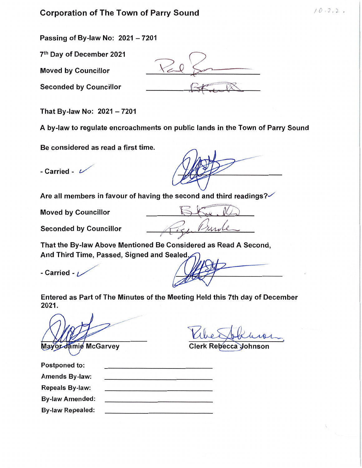# Corporation of The Town of Parry Sound  $(0, 2, 2, 2)$

Passing of By-law No:  $2021 - 7201$ 

7th Day of December 2021

Moved by Councillor

Seconded by Councillor

That By-law No:  $2021 - 7201$ 

A by-law to regulate encroachments on public lands in the Town of Parry Sound

Be considered as read a first time.

- Carried -  $\nu$ 

Are all members in favour of having the second and third readings? $\checkmark$ 

Moved by Councillor  $\mathbb{S}$   $\mathbb{C}$ .

Seconded by Councillor  $\sqrt{r_{\kappa}}$ , Punk

That the By-law Above Mentioned Be Considered as Read A Second, And Third Time, Passed, Signed and Sealed;

- Carried -  $\nu$ 

Entered as Part of The Minutes of the Meeting Held this 7th day of December 2021.

Mayor Jamie McGarvey

Clerk Rebecca Johnson

| <b>Postponed to:</b>    |  |  |
|-------------------------|--|--|
| Amends By-law:          |  |  |
| <b>Repeals By-law:</b>  |  |  |
| <b>By-law Amended:</b>  |  |  |
| <b>By-law Repealed:</b> |  |  |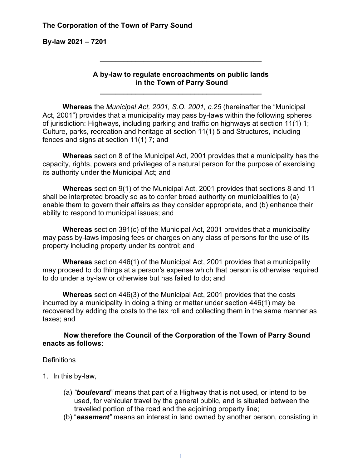**By-law 2021 – 7201**

#### **A by-law to regulate encroachments on public lands in the Town of Parry Sound**

**\_\_\_\_\_\_\_\_\_\_\_\_\_\_\_\_\_\_\_\_\_\_\_\_\_\_\_\_\_\_\_\_\_\_\_\_\_\_\_\_\_**

\_\_\_\_\_\_\_\_\_\_\_\_\_\_\_\_\_\_\_\_\_\_\_\_\_\_\_\_\_\_\_\_\_\_\_\_\_\_\_\_\_

**Whereas** the *Municipal Act, 2001, S.O. 2001, c.25* (hereinafter the "Municipal Act, 2001") provides that a municipality may pass by-laws within the following spheres of jurisdiction: Highways, including parking and traffic on highways at section 11(1) 1; Culture, parks, recreation and heritage at section 11(1) 5 and Structures, including fences and signs at section 11(1) 7; and

**Whereas** section 8 of the Municipal Act, 2001 provides that a municipality has the capacity, rights, powers and privileges of a natural person for the purpose of exercising its authority under the Municipal Act; and

**Whereas** section 9(1) of the Municipal Act, 2001 provides that sections 8 and 11 shall be interpreted broadly so as to confer broad authority on municipalities to (a) enable them to govern their affairs as they consider appropriate, and (b) enhance their ability to respond to municipal issues; and

**Whereas** section 391(c) of the Municipal Act, 2001 provides that a municipality may pass by-laws imposing fees or charges on any class of persons for the use of its property including property under its control; and

**Whereas** section 446(1) of the Municipal Act, 2001 provides that a municipality may proceed to do things at a person's expense which that person is otherwise required to do under a by-law or otherwise but has failed to do; and

**Whereas** section 446(3) of the Municipal Act, 2001 provides that the costs incurred by a municipality in doing a thing or matter under section 446(1) may be recovered by adding the costs to the tax roll and collecting them in the same manner as taxes; and

**Now therefore** t**he Council of the Corporation of the Town of Parry Sound enacts as follows**:

#### **Definitions**

- 1. In this by-law,
	- (a) *"boulevard"* means that part of a Highway that is not used, or intend to be used, for vehicular travel by the general public, and is situated between the travelled portion of the road and the adjoining property line;
	- (b) "*easement"* means an interest in land owned by another person, consisting in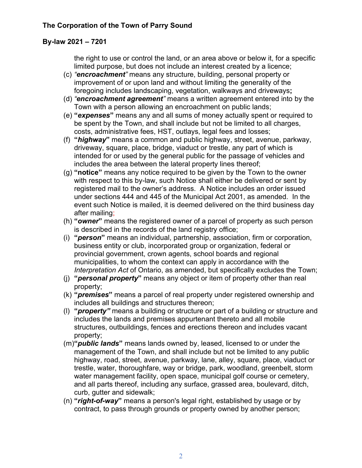#### **By-law 2021 – 7201**

the right to use or control the land, or an area above or below it, for a specific limited purpose, but does not include an interest created by a licence;

- (c) *"encroachment"* means any structure, building, personal property or improvement of or upon land and without limiting the generality of the foregoing includes landscaping, vegetation, walkways and driveways**;**
- (d) *"encroachment agreement"* means a written agreement entered into by the Town with a person allowing an encroachment on public lands;
- (e) **"***expenses***"** means any and all sums of money actually spent or required to be spent by the Town, and shall include but not be limited to all charges, costs, administrative fees, HST, outlays, legal fees and losses;
- (f) **"***highway***"** means a common and public highway, street, avenue, parkway, driveway, square, place, bridge, viaduct or trestle, any part of which is intended for or used by the general public for the passage of vehicles and includes the area between the lateral property lines thereof;
- (g) **"notice"** means any notice required to be given by the Town to the owner with respect to this by-law, such Notice shall either be delivered or sent by registered mail to the owner's address. A Notice includes an order issued under sections 444 and 445 of the Municipal Act 2001, as amended. In the event such Notice is mailed, it is deemed delivered on the third business day after mailing;
- (h) **"***owner***"** means the registered owner of a parcel of property as such person is described in the records of the land registry office;
- (i) **"***person***"** means an individual, partnership, association, firm or corporation, business entity or club, incorporated group or organization, federal or provincial government, crown agents, school boards and regional municipalities, to whom the context can apply in accordance with the *Interpretation Act* of Ontario, as amended, but specifically excludes the Town;
- (j) **"***personal property***"** means any object or item of property other than real property;
- (k) **"***premises***"** means a parcel of real property under registered ownership and includes all buildings and structures thereon;
- (l) **"***property"* means a building or structure or part of a building or structure and includes the lands and premises appurtenant thereto and all mobile structures, outbuildings, fences and erections thereon and includes vacant property;
- (m)**"***public lands***"** means lands owned by, leased, licensed to or under the management of the Town, and shall include but not be limited to any public highway, road, street, avenue, parkway, lane, alley, square, place, viaduct or trestle, water, thoroughfare, way or bridge, park, woodland, greenbelt, storm water management facility, open space, municipal golf course or cemetery, and all parts thereof, including any surface, grassed area, boulevard, ditch, curb, gutter and sidewalk;
- (n) **"***right-of-way***"** means a person's legal right, established by usage or by contract, to pass through grounds or property owned by another person;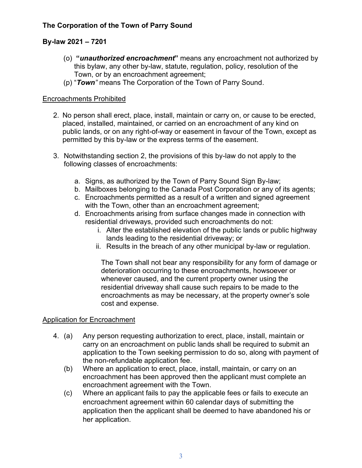## **By-law 2021 – 7201**

- (o) **"***unauthorized encroachment***"** means any encroachment not authorized by this bylaw, any other by-law, statute, regulation, policy, resolution of the Town, or by an encroachment agreement;
- (p) "*Town"* means The Corporation of the Town of Parry Sound.

### Encroachments Prohibited

- 2. No person shall erect, place, install, maintain or carry on, or cause to be erected, placed, installed, maintained, or carried on an encroachment of any kind on public lands, or on any right-of-way or easement in favour of the Town, except as permitted by this by-law or the express terms of the easement.
- 3. Notwithstanding section 2, the provisions of this by-law do not apply to the following classes of encroachments:
	- a. Signs, as authorized by the Town of Parry Sound Sign By-law;
	- b. Mailboxes belonging to the Canada Post Corporation or any of its agents;
	- c. Encroachments permitted as a result of a written and signed agreement with the Town, other than an encroachment agreement;
	- d. Encroachments arising from surface changes made in connection with residential driveways, provided such encroachments do not:
		- i. Alter the established elevation of the public lands or public highway lands leading to the residential driveway; or
		- ii. Results in the breach of any other municipal by-law or regulation.

The Town shall not bear any responsibility for any form of damage or deterioration occurring to these encroachments, howsoever or whenever caused, and the current property owner using the residential driveway shall cause such repairs to be made to the encroachments as may be necessary, at the property owner's sole cost and expense.

## Application for Encroachment

- 4. (a) Any person requesting authorization to erect, place, install, maintain or carry on an encroachment on public lands shall be required to submit an application to the Town seeking permission to do so, along with payment of the non-refundable application fee.
	- (b) Where an application to erect, place, install, maintain, or carry on an encroachment has been approved then the applicant must complete an encroachment agreement with the Town.
	- (c) Where an applicant fails to pay the applicable fees or fails to execute an encroachment agreement within 60 calendar days of submitting the application then the applicant shall be deemed to have abandoned his or her application.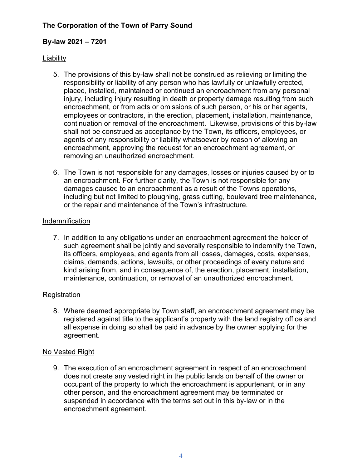## **By-law 2021 – 7201**

## **Liability**

- 5. The provisions of this by-law shall not be construed as relieving or limiting the responsibility or liability of any person who has lawfully or unlawfully erected, placed, installed, maintained or continued an encroachment from any personal injury, including injury resulting in death or property damage resulting from such encroachment, or from acts or omissions of such person, or his or her agents, employees or contractors, in the erection, placement, installation, maintenance, continuation or removal of the encroachment. Likewise, provisions of this by-law shall not be construed as acceptance by the Town, its officers, employees, or agents of any responsibility or liability whatsoever by reason of allowing an encroachment, approving the request for an encroachment agreement, or removing an unauthorized encroachment.
- 6. The Town is not responsible for any damages, losses or injuries caused by or to an encroachment. For further clarity, the Town is not responsible for any damages caused to an encroachment as a result of the Towns operations, including but not limited to ploughing, grass cutting, boulevard tree maintenance, or the repair and maintenance of the Town's infrastructure.

## Indemnification

7. In addition to any obligations under an encroachment agreement the holder of such agreement shall be jointly and severally responsible to indemnify the Town, its officers, employees, and agents from all losses, damages, costs, expenses, claims, demands, actions, lawsuits, or other proceedings of every nature and kind arising from, and in consequence of, the erection, placement, installation, maintenance, continuation, or removal of an unauthorized encroachment.

## **Registration**

8. Where deemed appropriate by Town staff, an encroachment agreement may be registered against title to the applicant's property with the land registry office and all expense in doing so shall be paid in advance by the owner applying for the agreement.

## No Vested Right

9. The execution of an encroachment agreement in respect of an encroachment does not create any vested right in the public lands on behalf of the owner or occupant of the property to which the encroachment is appurtenant, or in any other person, and the encroachment agreement may be terminated or suspended in accordance with the terms set out in this by-law or in the encroachment agreement.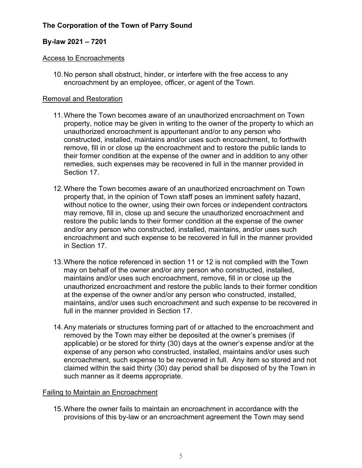## **By-law 2021 – 7201**

#### Access to Encroachments

10.No person shall obstruct, hinder, or interfere with the free access to any encroachment by an employee, officer, or agent of the Town.

#### Removal and Restoration

- 11.Where the Town becomes aware of an unauthorized encroachment on Town property, notice may be given in writing to the owner of the property to which an unauthorized encroachment is appurtenant and/or to any person who constructed, installed, maintains and/or uses such encroachment, to forthwith remove, fill in or close up the encroachment and to restore the public lands to their former condition at the expense of the owner and in addition to any other remedies, such expenses may be recovered in full in the manner provided in Section 17
- 12.Where the Town becomes aware of an unauthorized encroachment on Town property that, in the opinion of Town staff poses an imminent safety hazard, without notice to the owner, using their own forces or independent contractors may remove, fill in, close up and secure the unauthorized encroachment and restore the public lands to their former condition at the expense of the owner and/or any person who constructed, installed, maintains, and/or uses such encroachment and such expense to be recovered in full in the manner provided in Section 17.
- 13.Where the notice referenced in section 11 or 12 is not complied with the Town may on behalf of the owner and/or any person who constructed, installed, maintains and/or uses such encroachment, remove, fill in or close up the unauthorized encroachment and restore the public lands to their former condition at the expense of the owner and/or any person who constructed, installed, maintains, and/or uses such encroachment and such expense to be recovered in full in the manner provided in Section 17.
- 14.Any materials or structures forming part of or attached to the encroachment and removed by the Town may either be deposited at the owner's premises (if applicable) or be stored for thirty (30) days at the owner's expense and/or at the expense of any person who constructed, installed, maintains and/or uses such encroachment, such expense to be recovered in full. Any item so stored and not claimed within the said thirty (30) day period shall be disposed of by the Town in such manner as it deems appropriate.

## Failing to Maintain an Encroachment

15.Where the owner fails to maintain an encroachment in accordance with the provisions of this by-law or an encroachment agreement the Town may send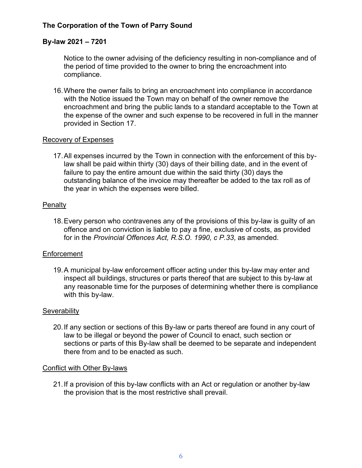#### **By-law 2021 – 7201**

Notice to the owner advising of the deficiency resulting in non-compliance and of the period of time provided to the owner to bring the encroachment into compliance.

16.Where the owner fails to bring an encroachment into compliance in accordance with the Notice issued the Town may on behalf of the owner remove the encroachment and bring the public lands to a standard acceptable to the Town at the expense of the owner and such expense to be recovered in full in the manner provided in Section 17.

#### Recovery of Expenses

17.All expenses incurred by the Town in connection with the enforcement of this bylaw shall be paid within thirty (30) days of their billing date, and in the event of failure to pay the entire amount due within the said thirty (30) days the outstanding balance of the invoice may thereafter be added to the tax roll as of the year in which the expenses were billed.

#### Penalty

18.Every person who contravenes any of the provisions of this by-law is guilty of an offence and on conviction is liable to pay a fine, exclusive of costs, as provided for in the *Provincial Offences Act, R.S.O. 1990, c P.33*, as amended.

#### **Enforcement**

19.A municipal by-law enforcement officer acting under this by-law may enter and inspect all buildings, structures or parts thereof that are subject to this by-law at any reasonable time for the purposes of determining whether there is compliance with this by-law.

#### **Severability**

20.If any section or sections of this By-law or parts thereof are found in any court of law to be illegal or beyond the power of Council to enact, such section or sections or parts of this By-law shall be deemed to be separate and independent there from and to be enacted as such.

#### Conflict with Other By-laws

21.If a provision of this by-law conflicts with an Act or regulation or another by-law the provision that is the most restrictive shall prevail.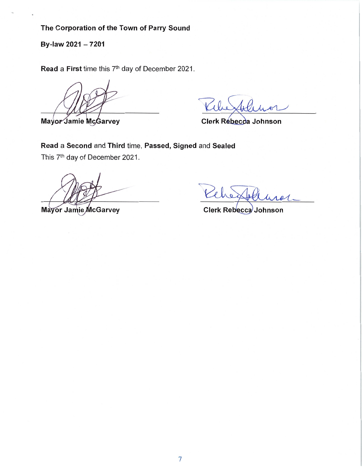By-law <sup>2021</sup> - <sup>7201</sup>

Read a First time this 7<sup>th</sup> day of December 2021.

Mayor Jamie McGarvey CIerk Rebecca Johnson

Read a Second and Third time, Passed, Signed and Sealed This 7<sup>th</sup> day of December 2021.

che

Mayor Jamie McGarvey Clerk Rebecca Johnson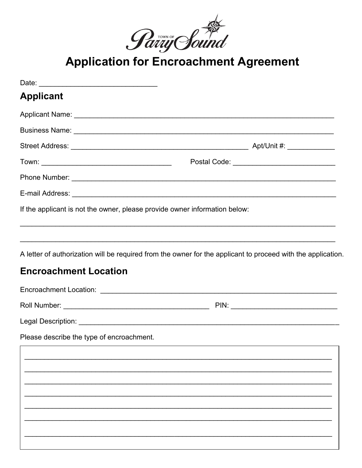

**Application for Encroachment Agreement** 

| <b>Applicant</b>                                                           |                                                |
|----------------------------------------------------------------------------|------------------------------------------------|
|                                                                            |                                                |
|                                                                            |                                                |
|                                                                            |                                                |
|                                                                            | Postal Code: _________________________________ |
|                                                                            |                                                |
|                                                                            |                                                |
| If the applicant is not the owner, please provide owner information below: |                                                |
| <b>Encroachment Location</b>                                               |                                                |
|                                                                            |                                                |
| Please describe the type of encroachment.                                  |                                                |
|                                                                            |                                                |
|                                                                            |                                                |
|                                                                            |                                                |
|                                                                            |                                                |
|                                                                            |                                                |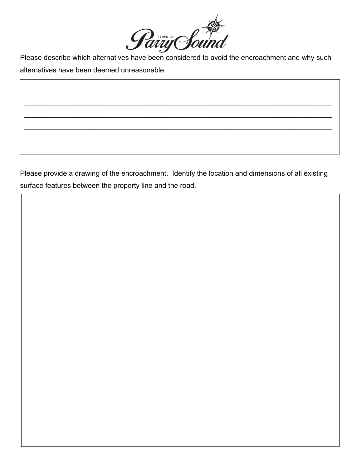

alternatives have been deemed unreasonable.

\_\_\_\_\_\_\_\_\_\_\_\_\_\_\_\_\_\_\_\_\_\_\_\_\_\_\_\_\_\_\_\_\_\_\_\_\_\_\_\_\_\_\_\_\_\_\_\_\_\_\_\_\_\_\_\_\_\_\_\_\_\_\_\_\_\_\_\_\_\_\_\_\_\_\_\_\_\_

\_\_\_\_\_\_\_\_\_\_\_\_\_\_\_\_\_\_\_\_\_\_\_\_\_\_\_\_\_\_\_\_\_\_\_\_\_\_\_\_\_\_\_\_\_\_\_\_\_\_\_\_\_\_\_\_\_\_\_\_\_\_\_\_\_\_\_\_\_\_\_\_\_\_\_\_\_\_

\_\_\_\_\_\_\_\_\_\_\_\_\_\_\_\_\_\_\_\_\_\_\_\_\_\_\_\_\_\_\_\_\_\_\_\_\_\_\_\_\_\_\_\_\_\_\_\_\_\_\_\_\_\_\_\_\_\_\_\_\_\_\_\_\_\_\_\_\_\_\_\_\_\_\_\_\_\_

\_\_\_\_\_\_\_\_\_\_\_\_\_\_\_\_\_\_\_\_\_\_\_\_\_\_\_\_\_\_\_\_\_\_\_\_\_\_\_\_\_\_\_\_\_\_\_\_\_\_\_\_\_\_\_\_\_\_\_\_\_\_\_\_\_\_\_\_\_\_\_\_\_\_\_\_\_\_

\_\_\_\_\_\_\_\_\_\_\_\_\_\_\_\_\_\_\_\_\_\_\_\_\_\_\_\_\_\_\_\_\_\_\_\_\_\_\_\_\_\_\_\_\_\_\_\_\_\_\_\_\_\_\_\_\_\_\_\_\_\_\_\_\_\_\_\_\_\_\_\_\_\_\_\_\_\_

Please provide a drawing of the encroachment. Identify the location and dimensions of all existing surface features between the property line and the road.